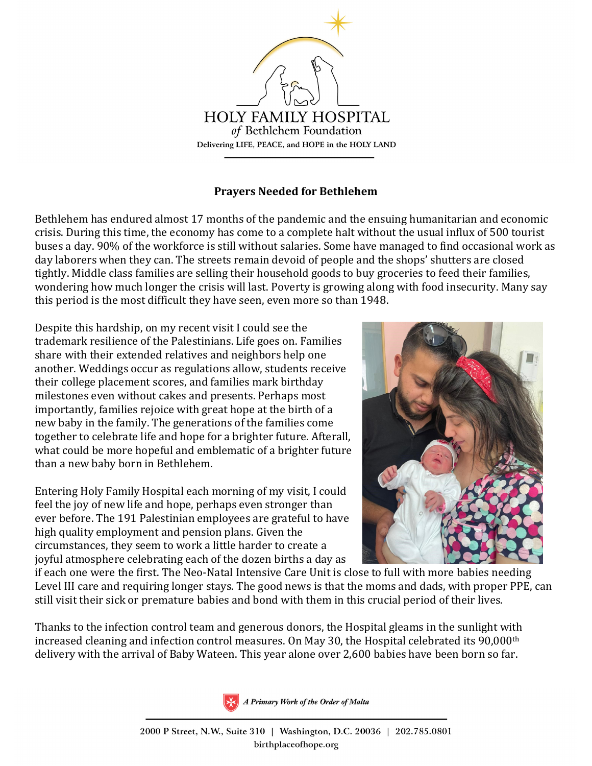

## **Prayers Needed for Bethlehem**

Bethlehem has endured almost 17 months of the pandemic and the ensuing humanitarian and economic crisis. During this time, the economy has come to a complete halt without the usual influx of 500 tourist buses a day. 90% of the workforce is still without salaries. Some have managed to find occasional work as day laborers when they can. The streets remain devoid of people and the shops' shutters are closed tightly. Middle class families are selling their household goods to buy groceries to feed their families, wondering how much longer the crisis will last. Poverty is growing along with food insecurity. Many say this period is the most difficult they have seen, even more so than 1948.

Despite this hardship, on my recent visit I could see the trademark resilience of the Palestinians. Life goes on. Families share with their extended relatives and neighbors help one another. Weddings occur as regulations allow, students receive their college placement scores, and families mark birthday milestones even without cakes and presents. Perhaps most importantly, families rejoice with great hope at the birth of a new baby in the family. The generations of the families come together to celebrate life and hope for a brighter future. Afterall, what could be more hopeful and emblematic of a brighter future than a new baby born in Bethlehem.

Entering Holy Family Hospital each morning of my visit, I could feel the joy of new life and hope, perhaps even stronger than ever before. The 191 Palestinian employees are grateful to have high quality employment and pension plans. Given the circumstances, they seem to work a little harder to create a joyful atmosphere celebrating each of the dozen births a day as



if each one were the first. The Neo-Natal Intensive Care Unit is close to full with more babies needing Level III care and requiring longer stays. The good news is that the moms and dads, with proper PPE, can still visit their sick or premature babies and bond with them in this crucial period of their lives.

Thanks to the infection control team and generous donors, the Hospital gleams in the sunlight with increased cleaning and infection control measures. On May 30, the Hospital celebrated its 90,000th delivery with the arrival of Baby Wateen. This year alone over 2,600 babies have been born so far.



A Primary Work of the Order of Malta